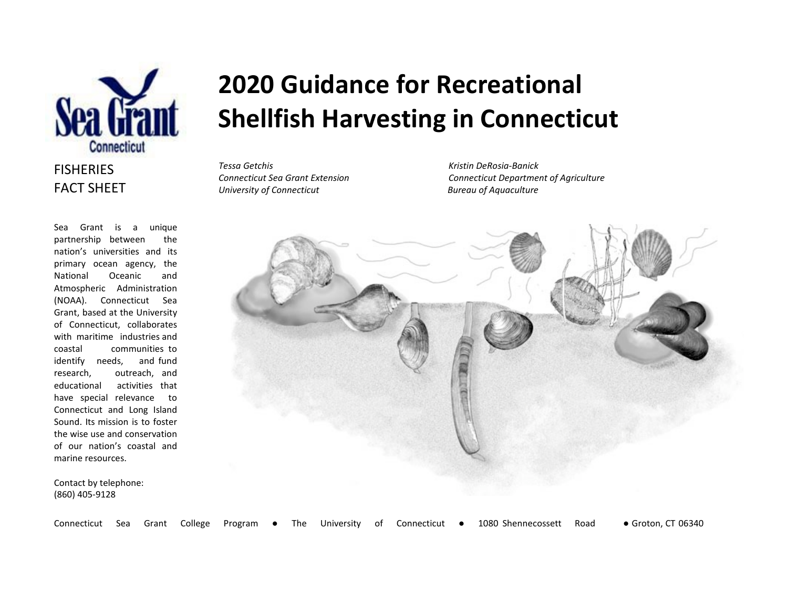

### **FISHERIES** FACT SHEET

Sea Grant is a unique partnership between the nation's universities and its primary ocean agency, the National Oceanic and Atmospheric Administration (NOAA). Connecticut Sea Grant, based at the University of Connecticut, collaborates with maritime industries and coastal communities to identify needs, and fund research, outreach, and educational activities that have special relevance to Connecticut and Long Island Sound. Its mission is to foster the wise use and conservation of our nation's coastal and marine resources.

Contact by telephone: (860) 405-9128

# **2020 Guidance for Recreational Shellfish Harvesting in Connecticut**

Connecticut Sea Grant College Program ● The University of Connecticut ● 1080 Shennecossett Road ● Groton, CT 06340

*Tessa Getchis Kristin DeRosia-Banick University of Connecticut Bureau of Aquaculture*

*Connecticut Sea Grant Extension Connecticut Department of Agriculture*

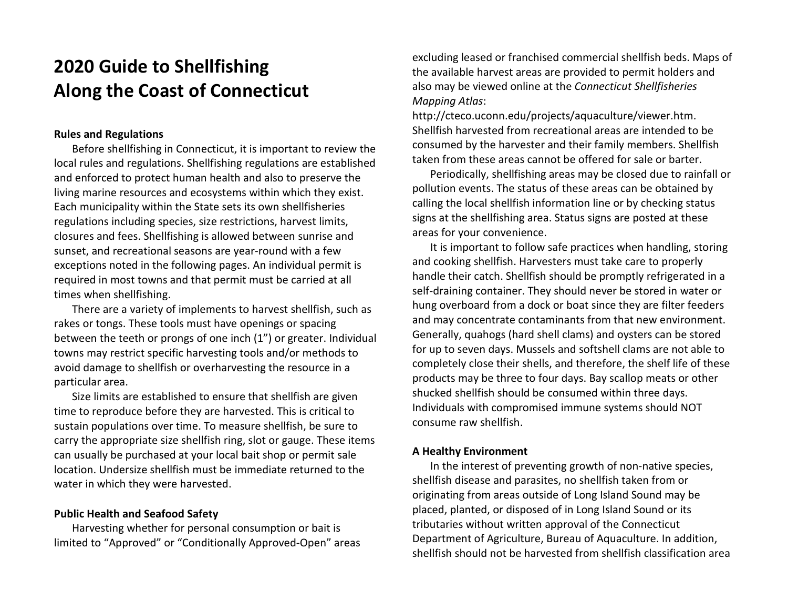## **2020 Guide to Shellfishing Along the Coast of Connecticut**

#### **Rules and Regulations**

Before shellfishing in Connecticut, it is important to review the local rules and regulations. Shellfishing regulations are established and enforced to protect human health and also to preserve the living marine resources and ecosystems within which they exist. Each municipality within the State sets its own shellfisheries regulations including species, size restrictions, harvest limits, closures and fees. Shellfishing is allowed between sunrise and sunset, and recreational seasons are year-round with a few exceptions noted in the following pages. An individual permit is required in most towns and that permit must be carried at all times when shellfishing.

There are a variety of implements to harvest shellfish, such as rakes or tongs. These tools must have openings or spacing between the teeth or prongs of one inch (1") or greater. Individual towns may restrict specific harvesting tools and/or methods to avoid damage to shellfish or overharvesting the resource in a particular area.

Size limits are established to ensure that shellfish are given time to reproduce before they are harvested. This is critical to sustain populations over time. To measure shellfish, be sure to carry the appropriate size shellfish ring, slot or gauge. These items can usually be purchased at your local bait shop or permit sale location. Undersize shellfish must be immediate returned to the water in which they were harvested.

#### **Public Health and Seafood Safety**

Harvesting whether for personal consumption or bait is limited to "Approved" or "Conditionally Approved-Open" areas excluding leased or franchised commercial shellfish beds. Maps of the available harvest areas are provided to permit holders and also may be viewed online at the *Connecticut Shellfisheries Mapping Atlas*:

http://cteco.uconn.edu/projects/aquaculture/viewer.htm. Shellfish harvested from recreational areas are intended to be consumed by the harvester and their family members. Shellfish taken from these areas cannot be offered for sale or barter.

Periodically, shellfishing areas may be closed due to rainfall or pollution events. The status of these areas can be obtained by calling the local shellfish information line or by checking status signs at the shellfishing area. Status signs are posted at these areas for your convenience.

It is important to follow safe practices when handling, storing and cooking shellfish. Harvesters must take care to properly handle their catch. Shellfish should be promptly refrigerated in a self-draining container. They should never be stored in water or hung overboard from a dock or boat since they are filter feeders and may concentrate contaminants from that new environment. Generally, quahogs (hard shell clams) and oysters can be stored for up to seven days. Mussels and softshell clams are not able to completely close their shells, and therefore, the shelf life of these products may be three to four days. Bay scallop meats or other shucked shellfish should be consumed within three days. Individuals with compromised immune systems should NOT consume raw shellfish.

#### **A Healthy Environment**

In the interest of preventing growth of non-native species, shellfish disease and parasites, no shellfish taken from or originating from areas outside of Long Island Sound may be placed, planted, or disposed of in Long Island Sound or its tributaries without written approval of the Connecticut Department of Agriculture, Bureau of Aquaculture. In addition, shellfish should not be harvested from shellfish classification area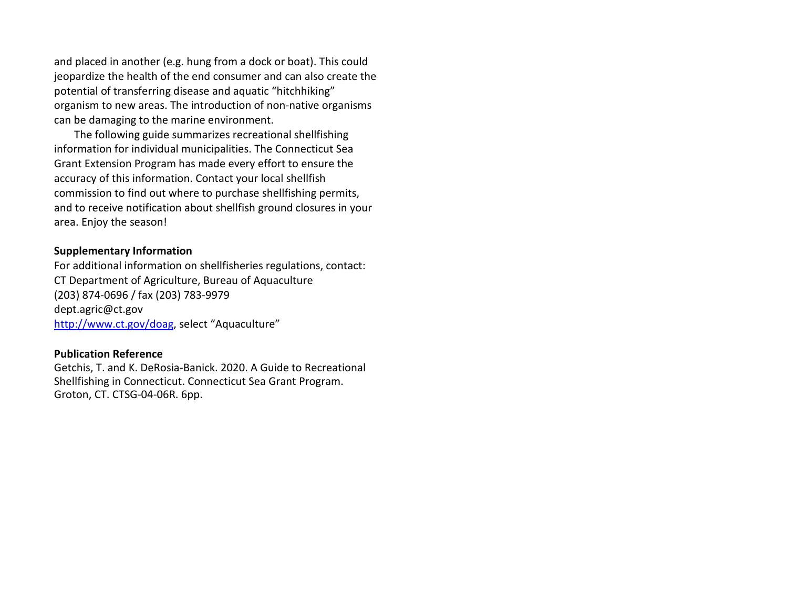and placed in another (e.g. hung from a dock or boat). This could jeopardize the health of the end consumer and can also create the potential of transferring disease and aquatic "hitchhiking" organism to new areas. The introduction of non-native organisms can be damaging to the marine environment.

The following guide summarizes recreational shellfishing information for individual municipalities. The Connecticut Sea Grant Extension Program has made every effort to ensure the accuracy of this information. Contact your local shellfish commission to find out where to purchase shellfishing permits, and to receive notification about shellfish ground closures in your area. Enjoy the season!

#### **Supplementary Information**

For additional information on shellfisheries regulations, contact: CT Department of Agriculture, Bureau of Aquaculture (203) 874-0696 / fax (203) 783-9979 [dept.agric@ct.gov](mailto:dept.agric@ct.gov) [http://www.ct.gov/doag,](http://www.ct.gov/doag) select "Aquaculture"

#### **Publication Reference**

Getchis, T. and K. DeRosia-Banick. 2020. A Guide to Recreational Shellfishing in Connecticut. Connecticut Sea Grant Program. Groton, CT. CTSG-04-06R. 6pp.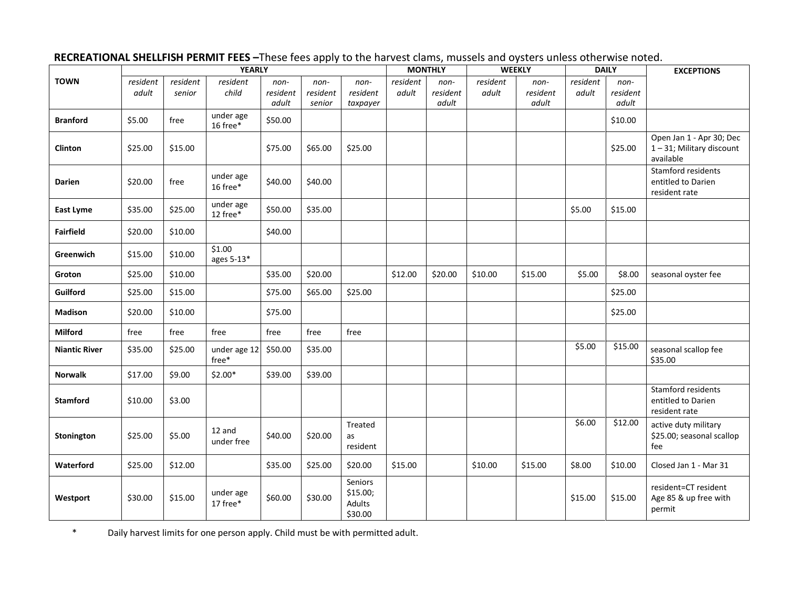|                      | <b>YEARLY</b>     |                    |                         |                           | .                          | <b>MONTHLY</b>                           |                   |                           | <b>WEEKLY</b>     |                           | <b>DAILY</b>      |                           | <b>EXCEPTIONS</b>                                                |  |
|----------------------|-------------------|--------------------|-------------------------|---------------------------|----------------------------|------------------------------------------|-------------------|---------------------------|-------------------|---------------------------|-------------------|---------------------------|------------------------------------------------------------------|--|
| <b>TOWN</b>          | resident<br>adult | resident<br>senior | resident<br>child       | non-<br>resident<br>adult | non-<br>resident<br>senior | non-<br>resident<br>taxpayer             | resident<br>adult | non-<br>resident<br>adult | resident<br>adult | non-<br>resident<br>adult | resident<br>adult | non-<br>resident<br>adult |                                                                  |  |
| <b>Branford</b>      | \$5.00            | free               | under age<br>16 free*   | \$50.00                   |                            |                                          |                   |                           |                   |                           |                   | \$10.00                   |                                                                  |  |
| <b>Clinton</b>       | \$25.00           | \$15.00            |                         | \$75.00                   | \$65.00                    | \$25.00                                  |                   |                           |                   |                           |                   | \$25.00                   | Open Jan 1 - Apr 30; Dec<br>1-31; Military discount<br>available |  |
| <b>Darien</b>        | \$20.00           | free               | under age<br>16 free*   | \$40.00                   | \$40.00                    |                                          |                   |                           |                   |                           |                   |                           | Stamford residents<br>entitled to Darien<br>resident rate        |  |
| East Lyme            | \$35.00           | \$25.00            | under age<br>12 free*   | \$50.00                   | \$35.00                    |                                          |                   |                           |                   |                           | \$5.00            | \$15.00                   |                                                                  |  |
| <b>Fairfield</b>     | \$20.00           | \$10.00            |                         | \$40.00                   |                            |                                          |                   |                           |                   |                           |                   |                           |                                                                  |  |
| Greenwich            | \$15.00           | \$10.00            | \$1.00<br>ages 5-13*    |                           |                            |                                          |                   |                           |                   |                           |                   |                           |                                                                  |  |
| Groton               | \$25.00           | \$10.00            |                         | \$35.00                   | \$20.00                    |                                          | \$12.00           | \$20.00                   | \$10.00           | \$15.00                   | \$5.00            | \$8.00                    | seasonal oyster fee                                              |  |
| Guilford             | \$25.00           | \$15.00            |                         | \$75.00                   | \$65.00                    | \$25.00                                  |                   |                           |                   |                           |                   | \$25.00                   |                                                                  |  |
| <b>Madison</b>       | \$20.00           | \$10.00            |                         | \$75.00                   |                            |                                          |                   |                           |                   |                           |                   | \$25.00                   |                                                                  |  |
| Milford              | free              | free               | free                    | free                      | free                       | free                                     |                   |                           |                   |                           |                   |                           |                                                                  |  |
| <b>Niantic River</b> | \$35.00           | \$25.00            | under age 12<br>$free*$ | \$50.00                   | \$35.00                    |                                          |                   |                           |                   |                           | \$5.00            | \$15.00                   | seasonal scallop fee<br>\$35.00                                  |  |
| <b>Norwalk</b>       | \$17.00           | \$9.00             | $$2.00*$                | \$39.00                   | \$39.00                    |                                          |                   |                           |                   |                           |                   |                           |                                                                  |  |
| <b>Stamford</b>      | \$10.00           | \$3.00             |                         |                           |                            |                                          |                   |                           |                   |                           |                   |                           | Stamford residents<br>entitled to Darien<br>resident rate        |  |
| Stonington           | \$25.00           | \$5.00             | 12 and<br>under free    | \$40.00                   | \$20.00                    | Treated<br>as<br>resident                |                   |                           |                   |                           | \$6.00            | \$12.00                   | active duty military<br>\$25.00; seasonal scallop<br>fee         |  |
| Waterford            | \$25.00           | \$12.00            |                         | \$35.00                   | \$25.00                    | \$20.00                                  | \$15.00           |                           | \$10.00           | \$15.00                   | \$8.00            | \$10.00                   | Closed Jan 1 - Mar 31                                            |  |
| Westport             | \$30.00           | \$15.00            | under age<br>17 free*   | \$60.00                   | \$30.00                    | Seniors<br>\$15.00;<br>Adults<br>\$30.00 |                   |                           |                   |                           | \$15.00           | \$15.00                   | resident=CT resident<br>Age 85 & up free with<br>permit          |  |

### **RECREATIONAL SHELLFISH PERMIT FEES –**These fees apply to the harvest clams, mussels and oysters unless otherwise noted.

\* Daily harvest limits for one person apply. Child must be with permitted adult.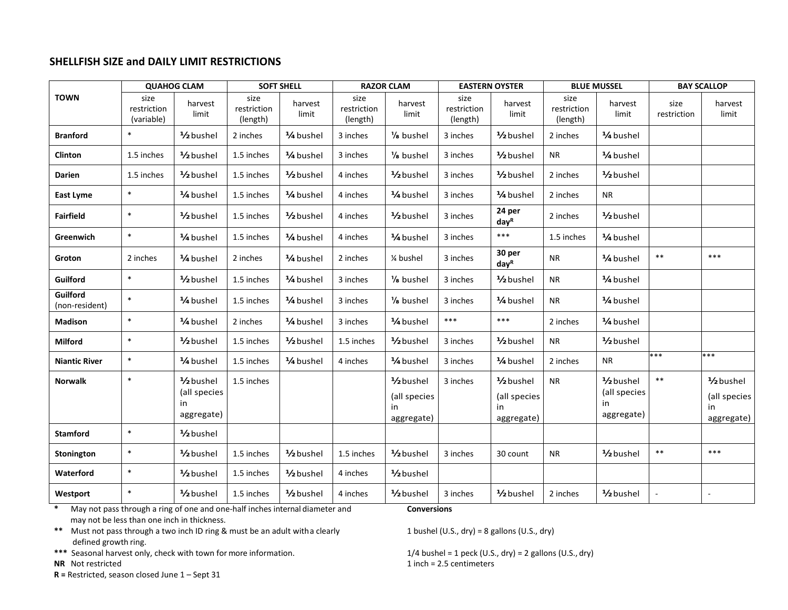#### **SHELLFISH SIZE and DAILY LIMIT RESTRICTIONS**

|                            |                                   | <b>QUAHOG CLAM</b>                                         | <b>SOFT SHELL</b>               |                        | <b>RAZOR CLAM</b>               |                                                | <b>EASTERN OYSTER</b>           |                                                            | <b>BLUE MUSSEL</b>              |                                                            | <b>BAY SCALLOP</b>  |                                                            |
|----------------------------|-----------------------------------|------------------------------------------------------------|---------------------------------|------------------------|---------------------------------|------------------------------------------------|---------------------------------|------------------------------------------------------------|---------------------------------|------------------------------------------------------------|---------------------|------------------------------------------------------------|
| <b>TOWN</b>                | size<br>restriction<br>(variable) | harvest<br>limit                                           | size<br>restriction<br>(length) | harvest<br>limit       | size<br>restriction<br>(length) | harvest<br>limit                               | size<br>restriction<br>(length) | harvest<br>limit                                           | size<br>restriction<br>(length) | harvest<br>limit                                           | size<br>restriction | harvest<br>limit                                           |
| <b>Branford</b>            | $\ast$                            | 1/ <sub>2</sub> bushel                                     | 2 inches                        | 1/4 bushel             | 3 inches                        | 1/ <sub>8</sub> bushel                         | 3 inches                        | 1/ <sub>2</sub> bushel                                     | 2 inches                        | 1/4 bushel                                                 |                     |                                                            |
| <b>Clinton</b>             | 1.5 inches                        | 1/ <sub>2</sub> bushel                                     | 1.5 inches                      | 1/4 bushel             | 3 inches                        | 1/ <sub>8</sub> bushel                         | 3 inches                        | 1/ <sub>2</sub> bushel                                     | <b>NR</b>                       | 1/4 bushel                                                 |                     |                                                            |
| <b>Darien</b>              | 1.5 inches                        | 1/ <sub>2</sub> bushel                                     | 1.5 inches                      | 1/ <sub>2</sub> bushel | 4 inches                        | 1/ <sub>2</sub> bushel                         | 3 inches                        | 1/2 bushel                                                 | 2 inches                        | 1/ <sub>2</sub> bushel                                     |                     |                                                            |
| East Lyme                  | $\ast$                            | 1/4 bushel                                                 | 1.5 inches                      | 1/4 bushel             | 4 inches                        | 1/4 bushel                                     | 3 inches                        | 1/4 bushel                                                 | 2 inches                        | <b>NR</b>                                                  |                     |                                                            |
| <b>Fairfield</b>           | $\ast$                            | 1/ <sub>2</sub> bushel                                     | 1.5 inches                      | 1/ <sub>2</sub> bushel | 4 inches                        | 1/2 bushel                                     | 3 inches                        | 24 per<br>day <sup>R</sup>                                 | 2 inches                        | 1/ <sub>2</sub> bushel                                     |                     |                                                            |
| Greenwich                  | $\ast$                            | 1/4 bushel                                                 | 1.5 inches                      | 1/4 bushel             | 4 inches                        | 1/4 bushel                                     | 3 inches                        | $***$                                                      | 1.5 inches                      | 1/ <sub>4</sub> bushel                                     |                     |                                                            |
| Groton                     | 2 inches                          | 1/4 bushel                                                 | 2 inches                        | 1/4 bushel             | 2 inches                        | 1⁄4 bushel                                     | 3 inches                        | 30 per<br>day <sup>R</sup>                                 | <b>NR</b>                       | 1/4 bushel                                                 | $\ast\ast$          | $***$                                                      |
| Guilford                   | $\ast$                            | 1/ <sub>2</sub> bushel                                     | 1.5 inches                      | 1/4 bushel             | 3 inches                        | 1/ <sub>8</sub> bushel                         | 3 inches                        | 1/ <sub>2</sub> bushel                                     | <b>NR</b>                       | 1/4 bushel                                                 |                     |                                                            |
| Guilford<br>(non-resident) | $\ast$                            | 1/4 bushel                                                 | 1.5 inches                      | 1/ <sub>4</sub> bushel | 3 inches                        | 1/ <sub>8</sub> bushel                         | 3 inches                        | 1/4 bushel                                                 | ΝR                              | 1/ <sub>4</sub> bushel                                     |                     |                                                            |
| <b>Madison</b>             | $\ast$                            | 1/4 bushel                                                 | 2 inches                        | 1/4 bushel             | 3 inches                        | 1/4 bushel                                     | $***$                           | $***$                                                      | 2 inches                        | 1/4 bushel                                                 |                     |                                                            |
| <b>Milford</b>             | $\ast$                            | 1/ <sub>2</sub> bushel                                     | 1.5 inches                      | 1/ <sub>2</sub> bushel | 1.5 inches                      | 1/ <sub>2</sub> bushel                         | 3 inches                        | 1/ <sub>2</sub> bushel                                     | <b>NR</b>                       | 1/ <sub>2</sub> bushel                                     |                     |                                                            |
| <b>Niantic River</b>       | $\ast$                            | 1/4 bushel                                                 | 1.5 inches                      | 1/4 bushel             | 4 inches                        | 1/4 bushel                                     | 3 inches                        | 1/4 bushel                                                 | 2 inches                        | <b>NR</b>                                                  | ***                 | ***                                                        |
| <b>Norwalk</b>             | $\ast$                            | 1/ <sub>2</sub> bushel<br>(all species<br>in<br>aggregate) | 1.5 inches                      |                        |                                 | 1/2 bushel<br>(all species<br>in<br>aggregate) | 3 inches                        | 1/ <sub>2</sub> bushel<br>(all species<br>in<br>aggregate) | <b>NR</b>                       | 1/ <sub>2</sub> bushel<br>(all species<br>in<br>aggregate) | $\ast\ast$          | 1/ <sub>2</sub> bushel<br>(all species<br>in<br>aggregate) |
| <b>Stamford</b>            | $\ast$                            | 1/ <sub>2</sub> bushel                                     |                                 |                        |                                 |                                                |                                 |                                                            |                                 |                                                            |                     |                                                            |
| Stonington                 | $\ast$                            | 1/ <sub>2</sub> bushel                                     | 1.5 inches                      | 1/ <sub>2</sub> bushel | 1.5 inches                      | 1/ <sub>2</sub> bushel                         | 3 inches                        | 30 count                                                   | <b>NR</b>                       | 1/ <sub>2</sub> bushel                                     | $***$               | $***$                                                      |
| Waterford                  | $\ast$                            | 1/ <sub>2</sub> bushel                                     | 1.5 inches                      | 1/ <sub>2</sub> bushel | 4 inches                        | 1/ <sub>2</sub> bushel                         |                                 |                                                            |                                 |                                                            |                     |                                                            |
| Westport                   | $\ast$                            | 1/ <sub>2</sub> bushel                                     | 1.5 inches                      | 1/ <sub>2</sub> bushel | 4 inches                        | 1/ <sub>2</sub> bushel                         | 3 inches                        | 1/ <sub>2</sub> bushel                                     | 2 inches                        | 1/ <sub>2</sub> bushel                                     |                     |                                                            |

**\*** May not pass through a ring of one and one-half inches internal diameter and **Conversions** may not be less than one inch in thickness.

\*\* Must not pass through a two inch ID ring & must be an adult witha clearly 1 bushel (U.S., dry) = 8 gallons (U.S., dry) defined growth ring.

\*\*\* Seasonal harvest only, check with town for more information. 1/4 bushel = 1 peck (U.S., dry) = 2 gallons (U.S., dry)

**R =** Restricted, season closed June 1 – Sept 31

**NR** Not restricted 1 inch = 2.5 centimeters